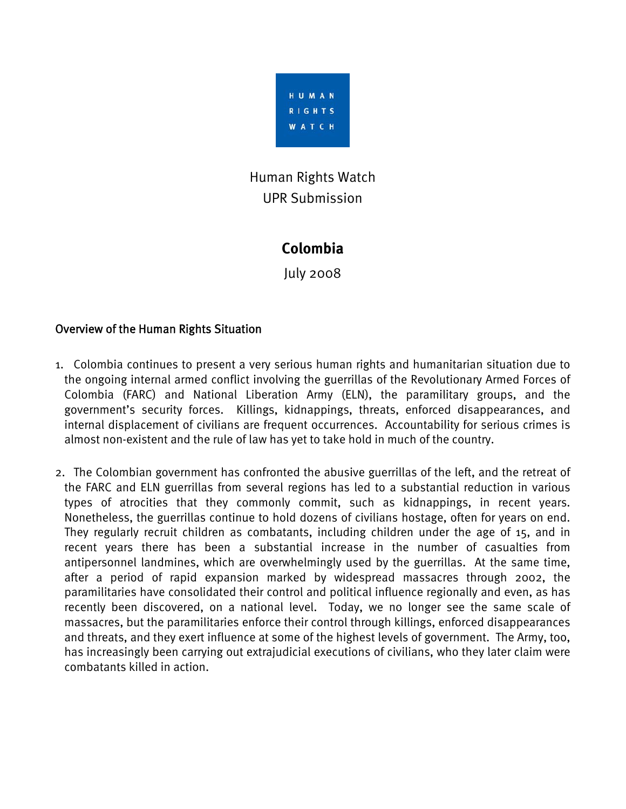

# Human Rights Watch UPR Submission

# **Colombia**

July 2008

# Overview of the Human Rights Situation

- 1. Colombia continues to present a very serious human rights and humanitarian situation due to the ongoing internal armed conflict involving the guerrillas of the Revolutionary Armed Forces of Colombia (FARC) and National Liberation Army (ELN), the paramilitary groups, and the government's security forces. Killings, kidnappings, threats, enforced disappearances, and internal displacement of civilians are frequent occurrences. Accountability for serious crimes is almost non-existent and the rule of law has yet to take hold in much of the country.
- 2. The Colombian government has confronted the abusive guerrillas of the left, and the retreat of the FARC and ELN guerrillas from several regions has led to a substantial reduction in various types of atrocities that they commonly commit, such as kidnappings, in recent years. Nonetheless, the guerrillas continue to hold dozens of civilians hostage, often for years on end. They regularly recruit children as combatants, including children under the age of 15, and in recent years there has been a substantial increase in the number of casualties from antipersonnel landmines, which are overwhelmingly used by the guerrillas. At the same time, after a period of rapid expansion marked by widespread massacres through 2002, the paramilitaries have consolidated their control and political influence regionally and even, as has recently been discovered, on a national level. Today, we no longer see the same scale of massacres, but the paramilitaries enforce their control through killings, enforced disappearances and threats, and they exert influence at some of the highest levels of government. The Army, too, has increasingly been carrying out extrajudicial executions of civilians, who they later claim were combatants killed in action.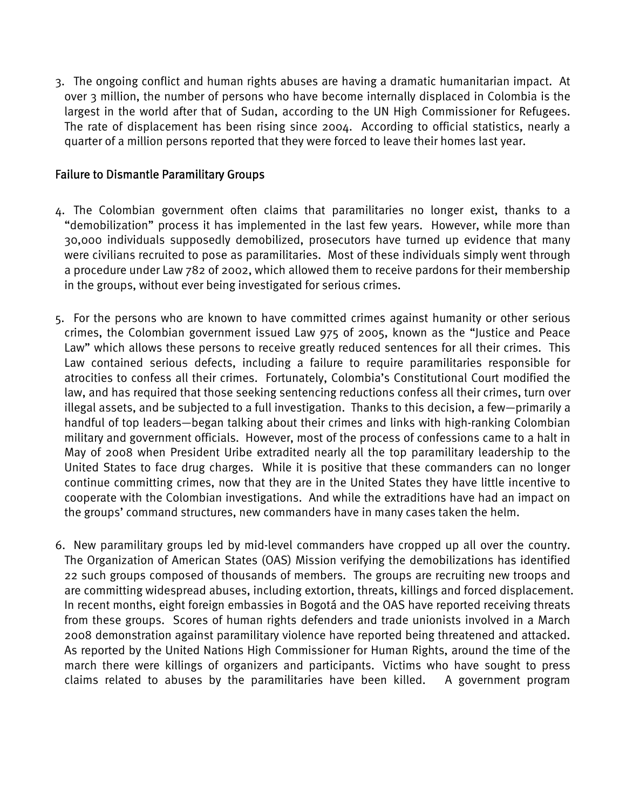3. The ongoing conflict and human rights abuses are having a dramatic humanitarian impact. At over 3 million, the number of persons who have become internally displaced in Colombia is the largest in the world after that of Sudan, according to the UN High Commissioner for Refugees. The rate of displacement has been rising since 2004. According to official statistics, nearly a quarter of a million persons reported that they were forced to leave their homes last year.

#### Failure to Dismantle Paramilitary Groups

- 4. The Colombian government often claims that paramilitaries no longer exist, thanks to a "demobilization" process it has implemented in the last few years. However, while more than 30,000 individuals supposedly demobilized, prosecutors have turned up evidence that many were civilians recruited to pose as paramilitaries. Most of these individuals simply went through a procedure under Law 782 of 2002, which allowed them to receive pardons for their membership in the groups, without ever being investigated for serious crimes.
- 5. For the persons who are known to have committed crimes against humanity or other serious crimes, the Colombian government issued Law 975 of 2005, known as the "Justice and Peace Law" which allows these persons to receive greatly reduced sentences for all their crimes. This Law contained serious defects, including a failure to require paramilitaries responsible for atrocities to confess all their crimes. Fortunately, Colombia's Constitutional Court modified the law, and has required that those seeking sentencing reductions confess all their crimes, turn over illegal assets, and be subjected to a full investigation. Thanks to this decision, a few—primarily a handful of top leaders—began talking about their crimes and links with high-ranking Colombian military and government officials. However, most of the process of confessions came to a halt in May of 2008 when President Uribe extradited nearly all the top paramilitary leadership to the United States to face drug charges. While it is positive that these commanders can no longer continue committing crimes, now that they are in the United States they have little incentive to cooperate with the Colombian investigations. And while the extraditions have had an impact on the groups' command structures, new commanders have in many cases taken the helm.
- 6. New paramilitary groups led by mid-level commanders have cropped up all over the country. The Organization of American States (OAS) Mission verifying the demobilizations has identified 22 such groups composed of thousands of members. The groups are recruiting new troops and are committing widespread abuses, including extortion, threats, killings and forced displacement. In recent months, eight foreign embassies in Bogotá and the OAS have reported receiving threats from these groups. Scores of human rights defenders and trade unionists involved in a March 2008 demonstration against paramilitary violence have reported being threatened and attacked. As reported by the United Nations High Commissioner for Human Rights, around the time of the march there were killings of organizers and participants. Victims who have sought to press claims related to abuses by the paramilitaries have been killed. A government program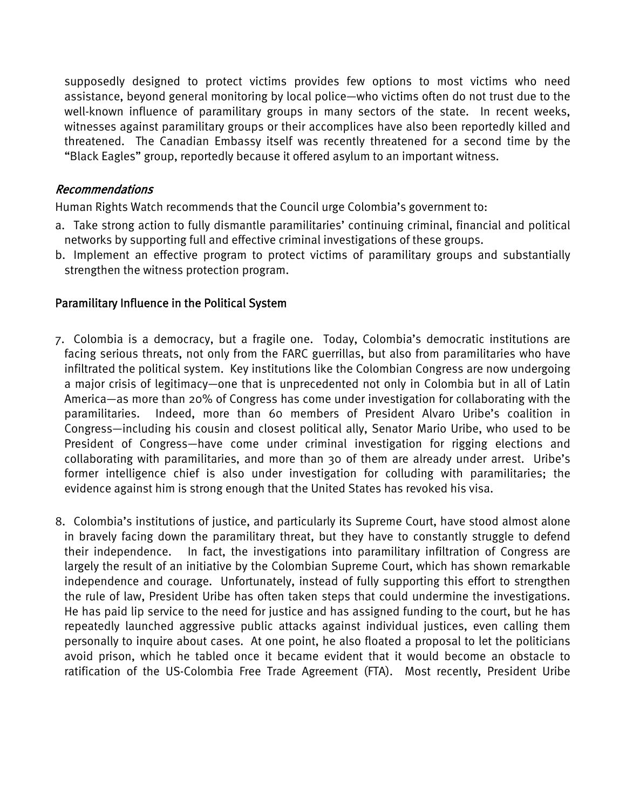supposedly designed to protect victims provides few options to most victims who need assistance, beyond general monitoring by local police—who victims often do not trust due to the well-known influence of paramilitary groups in many sectors of the state. In recent weeks, witnesses against paramilitary groups or their accomplices have also been reportedly killed and threatened. The Canadian Embassy itself was recently threatened for a second time by the "Black Eagles" group, reportedly because it offered asylum to an important witness.

#### Recommendations

Human Rights Watch recommends that the Council urge Colombia's government to:

- a. Take strong action to fully dismantle paramilitaries' continuing criminal, financial and political networks by supporting full and effective criminal investigations of these groups.
- b. Implement an effective program to protect victims of paramilitary groups and substantially strengthen the witness protection program.

# Paramilitary Influence in the Political System

- 7. Colombia is a democracy, but a fragile one. Today, Colombia's democratic institutions are facing serious threats, not only from the FARC guerrillas, but also from paramilitaries who have infiltrated the political system. Key institutions like the Colombian Congress are now undergoing a major crisis of legitimacy—one that is unprecedented not only in Colombia but in all of Latin America—as more than 20% of Congress has come under investigation for collaborating with the paramilitaries. Indeed, more than 60 members of President Alvaro Uribe's coalition in Congress—including his cousin and closest political ally, Senator Mario Uribe, who used to be President of Congress—have come under criminal investigation for rigging elections and collaborating with paramilitaries, and more than 30 of them are already under arrest. Uribe's former intelligence chief is also under investigation for colluding with paramilitaries; the evidence against him is strong enough that the United States has revoked his visa.
- 8. Colombia's institutions of justice, and particularly its Supreme Court, have stood almost alone in bravely facing down the paramilitary threat, but they have to constantly struggle to defend their independence. In fact, the investigations into paramilitary infiltration of Congress are largely the result of an initiative by the Colombian Supreme Court, which has shown remarkable independence and courage. Unfortunately, instead of fully supporting this effort to strengthen the rule of law, President Uribe has often taken steps that could undermine the investigations. He has paid lip service to the need for justice and has assigned funding to the court, but he has repeatedly launched aggressive public attacks against individual justices, even calling them personally to inquire about cases. At one point, he also floated a proposal to let the politicians avoid prison, which he tabled once it became evident that it would become an obstacle to ratification of the US-Colombia Free Trade Agreement (FTA). Most recently, President Uribe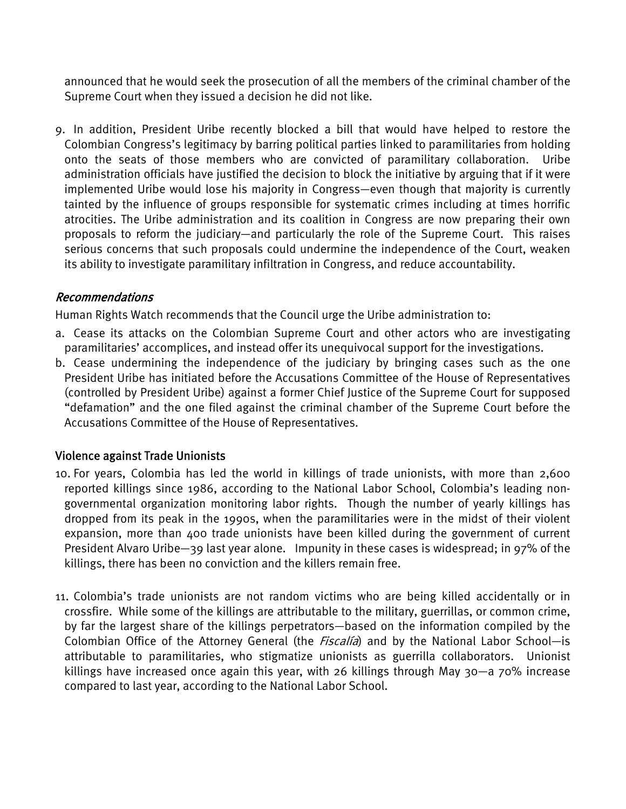announced that he would seek the prosecution of all the members of the criminal chamber of the Supreme Court when they issued a decision he did not like.

9. In addition, President Uribe recently blocked a bill that would have helped to restore the Colombian Congress's legitimacy by barring political parties linked to paramilitaries from holding onto the seats of those members who are convicted of paramilitary collaboration. Uribe administration officials have justified the decision to block the initiative by arguing that if it were implemented Uribe would lose his majority in Congress—even though that majority is currently tainted by the influence of groups responsible for systematic crimes including at times horrific atrocities. The Uribe administration and its coalition in Congress are now preparing their own proposals to reform the judiciary—and particularly the role of the Supreme Court. This raises serious concerns that such proposals could undermine the independence of the Court, weaken its ability to investigate paramilitary infiltration in Congress, and reduce accountability.

# Recommendations

Human Rights Watch recommends that the Council urge the Uribe administration to:

- a. Cease its attacks on the Colombian Supreme Court and other actors who are investigating paramilitaries' accomplices, and instead offer its unequivocal support for the investigations.
- b. Cease undermining the independence of the judiciary by bringing cases such as the one President Uribe has initiated before the Accusations Committee of the House of Representatives (controlled by President Uribe) against a former Chief Justice of the Supreme Court for supposed "defamation" and the one filed against the criminal chamber of the Supreme Court before the Accusations Committee of the House of Representatives.

# Violence against Trade Unionists

- 10. For years, Colombia has led the world in killings of trade unionists, with more than 2,600 reported killings since 1986, according to the National Labor School, Colombia's leading nongovernmental organization monitoring labor rights. Though the number of yearly killings has dropped from its peak in the 1990s, when the paramilitaries were in the midst of their violent expansion, more than 400 trade unionists have been killed during the government of current President Alvaro Uribe—39 last year alone. Impunity in these cases is widespread; in 97% of the killings, there has been no conviction and the killers remain free.
- 11. Colombia's trade unionists are not random victims who are being killed accidentally or in crossfire. While some of the killings are attributable to the military, guerrillas, or common crime, by far the largest share of the killings perpetrators—based on the information compiled by the Colombian Office of the Attorney General (the *Fiscalía*) and by the National Labor School—is attributable to paramilitaries, who stigmatize unionists as guerrilla collaborators. Unionist killings have increased once again this year, with 26 killings through May 30—a 70% increase compared to last year, according to the National Labor School.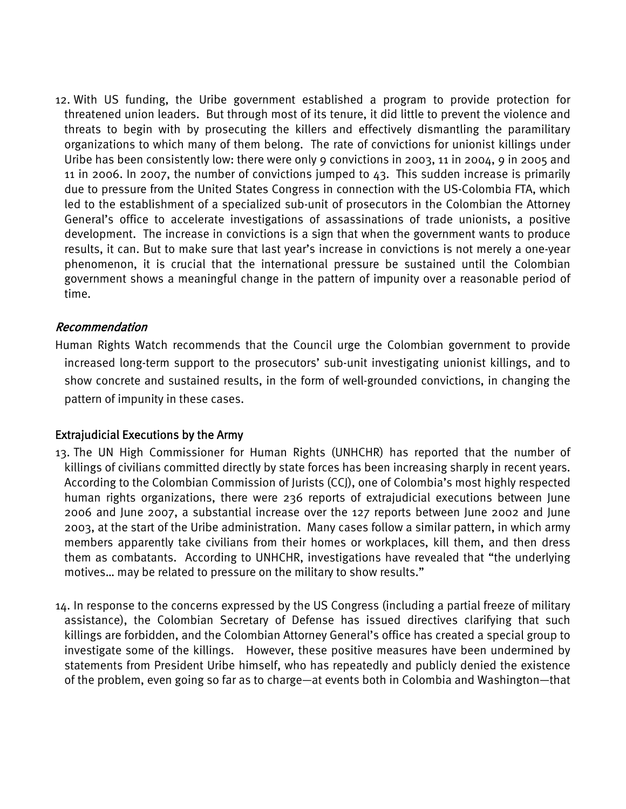12. With US funding, the Uribe government established a program to provide protection for threatened union leaders. But through most of its tenure, it did little to prevent the violence and threats to begin with by prosecuting the killers and effectively dismantling the paramilitary organizations to which many of them belong. The rate of convictions for unionist killings under Uribe has been consistently low: there were only 9 convictions in 2003, 11 in 2004, 9 in 2005 and 11 in 2006. In 2007, the number of convictions jumped to 43. This sudden increase is primarily due to pressure from the United States Congress in connection with the US-Colombia FTA, which led to the establishment of a specialized sub-unit of prosecutors in the Colombian the Attorney General's office to accelerate investigations of assassinations of trade unionists, a positive development. The increase in convictions is a sign that when the government wants to produce results, it can. But to make sure that last year's increase in convictions is not merely a one-year phenomenon, it is crucial that the international pressure be sustained until the Colombian government shows a meaningful change in the pattern of impunity over a reasonable period of time.

# Recommendation

Human Rights Watch recommends that the Council urge the Colombian government to provide increased long-term support to the prosecutors' sub-unit investigating unionist killings, and to show concrete and sustained results, in the form of well-grounded convictions, in changing the pattern of impunity in these cases.

# Extrajudicial Executions by the Army

- 13. The UN High Commissioner for Human Rights (UNHCHR) has reported that the number of killings of civilians committed directly by state forces has been increasing sharply in recent years. According to the Colombian Commission of Jurists (CCJ), one of Colombia's most highly respected human rights organizations, there were 236 reports of extrajudicial executions between June 2006 and June 2007, a substantial increase over the 127 reports between June 2002 and June 2003, at the start of the Uribe administration. Many cases follow a similar pattern, in which army members apparently take civilians from their homes or workplaces, kill them, and then dress them as combatants. According to UNHCHR, investigations have revealed that "the underlying motives… may be related to pressure on the military to show results."
- 14. In response to the concerns expressed by the US Congress (including a partial freeze of military assistance), the Colombian Secretary of Defense has issued directives clarifying that such killings are forbidden, and the Colombian Attorney General's office has created a special group to investigate some of the killings. However, these positive measures have been undermined by statements from President Uribe himself, who has repeatedly and publicly denied the existence of the problem, even going so far as to charge—at events both in Colombia and Washington—that